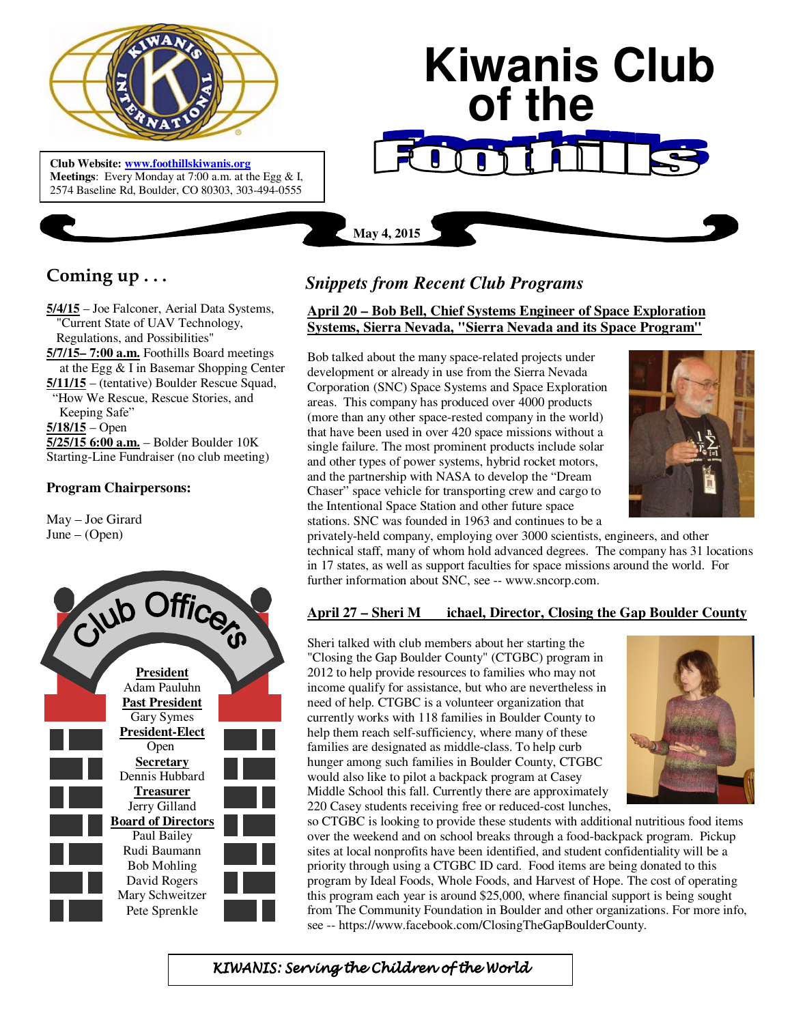

 **Meetings**: Every Monday at 7:00 a.m. at the Egg & I, **Club Website: www.foothillskiwanis.org** 2574 Baseline Rd, Boulder, CO 80303, 303-494-0555

# **Kiwanis Club of the**

## **Coming up . . .**

**5/4/15** – Joe Falconer, Aerial Data Systems, "Current State of UAV Technology, Regulations, and Possibilities" **5/7/15– 7:00 a.m.** Foothills Board meetings at the Egg & I in Basemar Shopping Center **5/11/15** – (tentative) Boulder Rescue Squad, "How We Rescue, Rescue Stories, and Keeping Safe" **5/18/15** – Open **5/25/15 6:00 a.m.** – Bolder Boulder 10K Starting-Line Fundraiser (no club meeting)

#### **Program Chairpersons:**

May – Joe Girard June – (Open)



## *Snippets from Recent Club Programs*

**May 4, 2015**

**April 20 – Bob Bell, Chief Systems Engineer of Space Exploration Systems, Sierra Nevada, "Sierra Nevada and its Space Program"**

Bob talked about the many space-related projects under development or already in use from the Sierra Nevada Corporation (SNC) Space Systems and Space Exploration areas. This company has produced over 4000 products (more than any other space-rested company in the world) that have been used in over 420 space missions without a single failure. The most prominent products include solar and other types of power systems, hybrid rocket motors, and the partnership with NASA to develop the "Dream Chaser" space vehicle for transporting crew and cargo to the Intentional Space Station and other future space stations. SNC was founded in 1963 and continues to be a



privately-held company, employing over 3000 scientists, engineers, and other technical staff, many of whom hold advanced degrees. The company has 31 locations in 17 states, as well as support faculties for space missions around the world. For further information about SNC, see -- www.sncorp.com.

### **April 27 – Sheri M ichael, Director, Closing the Gap Boulder County**

Sheri talked with club members about her starting the "Closing the Gap Boulder County" (CTGBC) program in 2012 to help provide resources to families who may not income qualify for assistance, but who are nevertheless in need of help. CTGBC is a volunteer organization that currently works with 118 families in Boulder County to help them reach self-sufficiency, where many of these families are designated as middle-class. To help curb hunger among such families in Boulder County, CTGBC would also like to pilot a backpack program at Casey Middle School this fall. Currently there are approximately 220 Casey students receiving free or reduced-cost lunches,



so CTGBC is looking to provide these students with additional nutritious food items over the weekend and on school breaks through a food-backpack program. Pickup sites at local nonprofits have been identified, and student confidentiality will be a priority through using a CTGBC ID card. Food items are being donated to this program by Ideal Foods, Whole Foods, and Harvest of Hope. The cost of operating this program each year is around \$25,000, where financial support is being sought from The Community Foundation in Boulder and other organizations. For more info, see -- https://www.facebook.com/ClosingTheGapBoulderCounty.

KIWANIS: Serving the Children of the World